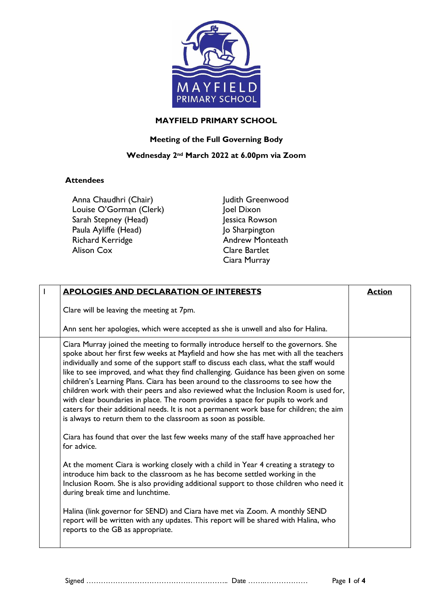

## **MAYFIELD PRIMARY SCHOOL**

## **Meeting of the Full Governing Body**

## **Wednesday 2nd March 2022 at 6.00pm via Zoom**

## **Attendees**

Anna Chaudhri (Chair) Louise O'Gorman (Clerk) Sarah Stepney (Head) Paula Ayliffe (Head) Richard Kerridge Alison Cox

Judith Greenwood Joel Dixon Jessica Rowson Jo Sharpington Andrew Monteath Clare Bartlet Ciara Murray

| <b>APOLOGIES AND DECLARATION OF INTERESTS</b>                                                                                                                                                                                                                                                                                                                                                                                                                                                                                                                                                                                                                                                                                                                                                                                                                                         | <b>Action</b> |
|---------------------------------------------------------------------------------------------------------------------------------------------------------------------------------------------------------------------------------------------------------------------------------------------------------------------------------------------------------------------------------------------------------------------------------------------------------------------------------------------------------------------------------------------------------------------------------------------------------------------------------------------------------------------------------------------------------------------------------------------------------------------------------------------------------------------------------------------------------------------------------------|---------------|
| Clare will be leaving the meeting at 7pm.                                                                                                                                                                                                                                                                                                                                                                                                                                                                                                                                                                                                                                                                                                                                                                                                                                             |               |
| Ann sent her apologies, which were accepted as she is unwell and also for Halina.                                                                                                                                                                                                                                                                                                                                                                                                                                                                                                                                                                                                                                                                                                                                                                                                     |               |
| Ciara Murray joined the meeting to formally introduce herself to the governors. She<br>spoke about her first few weeks at Mayfield and how she has met with all the teachers<br>individually and some of the support staff to discuss each class, what the staff would<br>like to see improved, and what they find challenging. Guidance has been given on some<br>children's Learning Plans. Ciara has been around to the classrooms to see how the<br>children work with their peers and also reviewed what the Inclusion Room is used for,<br>with clear boundaries in place. The room provides a space for pupils to work and<br>caters for their additional needs. It is not a permanent work base for children; the aim<br>is always to return them to the classroom as soon as possible.<br>Ciara has found that over the last few weeks many of the staff have approached her |               |
| for advice.                                                                                                                                                                                                                                                                                                                                                                                                                                                                                                                                                                                                                                                                                                                                                                                                                                                                           |               |
| At the moment Ciara is working closely with a child in Year 4 creating a strategy to<br>introduce him back to the classroom as he has become settled working in the<br>Inclusion Room. She is also providing additional support to those children who need it<br>during break time and lunchtime.                                                                                                                                                                                                                                                                                                                                                                                                                                                                                                                                                                                     |               |
| Halina (link governor for SEND) and Ciara have met via Zoom. A monthly SEND<br>report will be written with any updates. This report will be shared with Halina, who<br>reports to the GB as appropriate.                                                                                                                                                                                                                                                                                                                                                                                                                                                                                                                                                                                                                                                                              |               |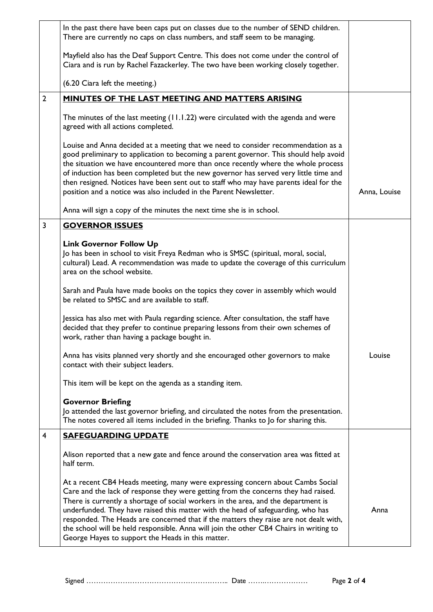| In the past there have been caps put on classes due to the number of SEND children.                                                                                                                                                                                                                                                                                                                                                                                                                                                                                                    |              |
|----------------------------------------------------------------------------------------------------------------------------------------------------------------------------------------------------------------------------------------------------------------------------------------------------------------------------------------------------------------------------------------------------------------------------------------------------------------------------------------------------------------------------------------------------------------------------------------|--------------|
| There are currently no caps on class numbers, and staff seem to be managing.                                                                                                                                                                                                                                                                                                                                                                                                                                                                                                           |              |
| Mayfield also has the Deaf Support Centre. This does not come under the control of<br>Ciara and is run by Rachel Fazackerley. The two have been working closely together.                                                                                                                                                                                                                                                                                                                                                                                                              |              |
| (6.20 Ciara left the meeting.)                                                                                                                                                                                                                                                                                                                                                                                                                                                                                                                                                         |              |
| <b>MINUTES OF THE LAST MEETING AND MATTERS ARISING</b>                                                                                                                                                                                                                                                                                                                                                                                                                                                                                                                                 |              |
| The minutes of the last meeting (11.1.22) were circulated with the agenda and were<br>agreed with all actions completed.                                                                                                                                                                                                                                                                                                                                                                                                                                                               |              |
| Louise and Anna decided at a meeting that we need to consider recommendation as a<br>good preliminary to application to becoming a parent governor. This should help avoid<br>the situation we have encountered more than once recently where the whole process<br>of induction has been completed but the new governor has served very little time and<br>then resigned. Notices have been sent out to staff who may have parents ideal for the<br>position and a notice was also included in the Parent Newsletter.                                                                  | Anna, Louise |
| Anna will sign a copy of the minutes the next time she is in school.                                                                                                                                                                                                                                                                                                                                                                                                                                                                                                                   |              |
| <b>GOVERNOR ISSUES</b>                                                                                                                                                                                                                                                                                                                                                                                                                                                                                                                                                                 |              |
| <b>Link Governor Follow Up</b><br>Jo has been in school to visit Freya Redman who is SMSC (spiritual, moral, social,<br>cultural) Lead. A recommendation was made to update the coverage of this curriculum<br>area on the school website.                                                                                                                                                                                                                                                                                                                                             |              |
| Sarah and Paula have made books on the topics they cover in assembly which would<br>be related to SMSC and are available to staff.                                                                                                                                                                                                                                                                                                                                                                                                                                                     |              |
| Jessica has also met with Paula regarding science. After consultation, the staff have<br>decided that they prefer to continue preparing lessons from their own schemes of<br>work, rather than having a package bought in.                                                                                                                                                                                                                                                                                                                                                             |              |
| Anna has visits planned very shortly and she encouraged other governors to make<br>contact with their subject leaders.                                                                                                                                                                                                                                                                                                                                                                                                                                                                 | Louise       |
| This item will be kept on the agenda as a standing item.                                                                                                                                                                                                                                                                                                                                                                                                                                                                                                                               |              |
| <b>Governor Briefing</b><br>Jo attended the last governor briefing, and circulated the notes from the presentation.<br>The notes covered all items included in the briefing. Thanks to Jo for sharing this.                                                                                                                                                                                                                                                                                                                                                                            |              |
| <b>SAFEGUARDING UPDATE</b>                                                                                                                                                                                                                                                                                                                                                                                                                                                                                                                                                             |              |
| Alison reported that a new gate and fence around the conservation area was fitted at<br>half term.                                                                                                                                                                                                                                                                                                                                                                                                                                                                                     |              |
| At a recent CB4 Heads meeting, many were expressing concern about Cambs Social<br>Care and the lack of response they were getting from the concerns they had raised.<br>There is currently a shortage of social workers in the area, and the department is<br>underfunded. They have raised this matter with the head of safeguarding, who has<br>responded. The Heads are concerned that if the matters they raise are not dealt with,<br>the school will be held responsible. Anna will join the other CB4 Chairs in writing to<br>George Hayes to support the Heads in this matter. | Anna         |
|                                                                                                                                                                                                                                                                                                                                                                                                                                                                                                                                                                                        |              |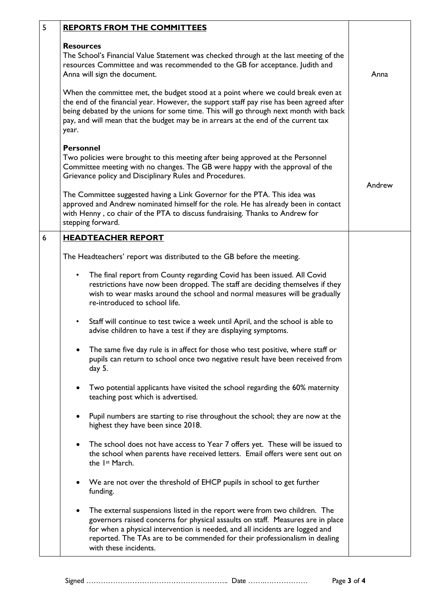| 5 | <b>REPORTS FROM THE COMMITTEES</b>                                                                                                                                                                                                                                                                                                                                                                                                                                                                                                                                                               |        |
|---|--------------------------------------------------------------------------------------------------------------------------------------------------------------------------------------------------------------------------------------------------------------------------------------------------------------------------------------------------------------------------------------------------------------------------------------------------------------------------------------------------------------------------------------------------------------------------------------------------|--------|
|   | <b>Resources</b><br>The School's Financial Value Statement was checked through at the last meeting of the<br>resources Committee and was recommended to the GB for acceptance. Judith and<br>Anna will sign the document.<br>When the committee met, the budget stood at a point where we could break even at<br>the end of the financial year. However, the support staff pay rise has been agreed after<br>being debated by the unions for some time. This will go through next month with back<br>pay, and will mean that the budget may be in arrears at the end of the current tax<br>year. | Anna   |
|   | <b>Personnel</b><br>Two policies were brought to this meeting after being approved at the Personnel<br>Committee meeting with no changes. The GB were happy with the approval of the<br>Grievance policy and Disciplinary Rules and Procedures.                                                                                                                                                                                                                                                                                                                                                  | Andrew |
|   | The Committee suggested having a Link Governor for the PTA. This idea was<br>approved and Andrew nominated himself for the role. He has already been in contact<br>with Henny, co chair of the PTA to discuss fundraising. Thanks to Andrew for<br>stepping forward.                                                                                                                                                                                                                                                                                                                             |        |
| 6 | <b>HEADTEACHER REPORT</b>                                                                                                                                                                                                                                                                                                                                                                                                                                                                                                                                                                        |        |
|   | The Headteachers' report was distributed to the GB before the meeting.                                                                                                                                                                                                                                                                                                                                                                                                                                                                                                                           |        |
|   | The final report from County regarding Covid has been issued. All Covid<br>restrictions have now been dropped. The staff are deciding themselves if they<br>wish to wear masks around the school and normal measures will be gradually<br>re-introduced to school life.                                                                                                                                                                                                                                                                                                                          |        |
|   | Staff will continue to test twice a week until April, and the school is able to<br>$\bullet$<br>advise children to have a test if they are displaying symptoms.                                                                                                                                                                                                                                                                                                                                                                                                                                  |        |
|   | The same five day rule is in affect for those who test positive, where staff or<br>pupils can return to school once two negative result have been received from<br>day 5.                                                                                                                                                                                                                                                                                                                                                                                                                        |        |
|   | Two potential applicants have visited the school regarding the 60% maternity<br>teaching post which is advertised.                                                                                                                                                                                                                                                                                                                                                                                                                                                                               |        |
|   | Pupil numbers are starting to rise throughout the school; they are now at the<br>highest they have been since 2018.                                                                                                                                                                                                                                                                                                                                                                                                                                                                              |        |
|   | The school does not have access to Year 7 offers yet. These will be issued to<br>the school when parents have received letters. Email offers were sent out on<br>the 1 <sup>st</sup> March.                                                                                                                                                                                                                                                                                                                                                                                                      |        |
|   | We are not over the threshold of EHCP pupils in school to get further<br>funding.                                                                                                                                                                                                                                                                                                                                                                                                                                                                                                                |        |
|   | The external suspensions listed in the report were from two children. The<br>governors raised concerns for physical assaults on staff. Measures are in place<br>for when a physical intervention is needed, and all incidents are logged and<br>reported. The TAs are to be commended for their professionalism in dealing<br>with these incidents.                                                                                                                                                                                                                                              |        |